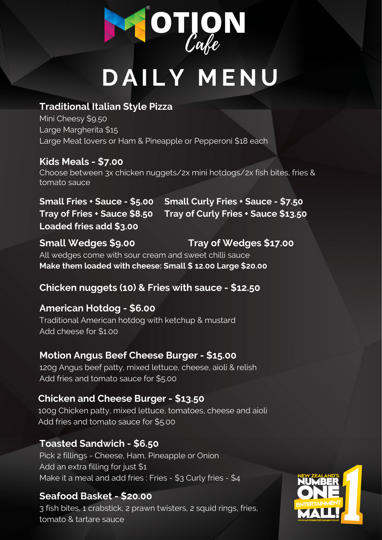# **D AI LY M E N U**

### **Traditional Italian Style Pizza**

Mini Cheesy \$9.50 Large Margherita \$15 Large Meat lovers or Ham & Pineapple or Pepperoni \$18 each

## **Kids Meals - \$7.00**

Choose between 3x chicken nuggets/2x mini hotdogs/2x fish bites, fries & tomato sauce

### **Seafood Basket - \$20.00**

3 fish bites, 1 crabstick, 2 prawn twisters, 2 squid rings, fries, tomato & tartare sauce



**Small Wedges \$9.00 Tray of Wedges \$17.00** All wedges come with sour cream and sweet chilli sauce **Make them loaded with cheese: Small \$ 12.00 Large \$20.00**

**Chicken nuggets (10) & Fries with sauce - \$12.50**

### **American Hotdog - \$6.00**

Traditional American hotdog with ketchup & mustard Add cheese for \$1.00

### **Toasted Sandwich - \$6.50**

Pick 2 fillings - Cheese, Ham, Pineapple or Onion Add an extra filling for just \$1 Make it a meal and add fries : Fries - \$3 Curly fries - \$4

### **Motion Angus Beef Cheese Burger - \$15.00**

120g Angus beef patty, mixed lettuce, cheese, aioli & relish Add fries and tomato sauce for \$5.00

### **Chicken and Cheese Burger - \$13.50**

100g Chicken patty, mixed lettuce, tomatoes, cheese and aioli Add fries and tomato sauce for \$5.00



**Small Fries + Sauce - \$5.00 Tray of Fries + Sauce \$8.50 Loaded fries add \$3.00 Small Curly Fries + Sauce - \$7.50 Tray of Curly Fries + Sauce \$13.50**